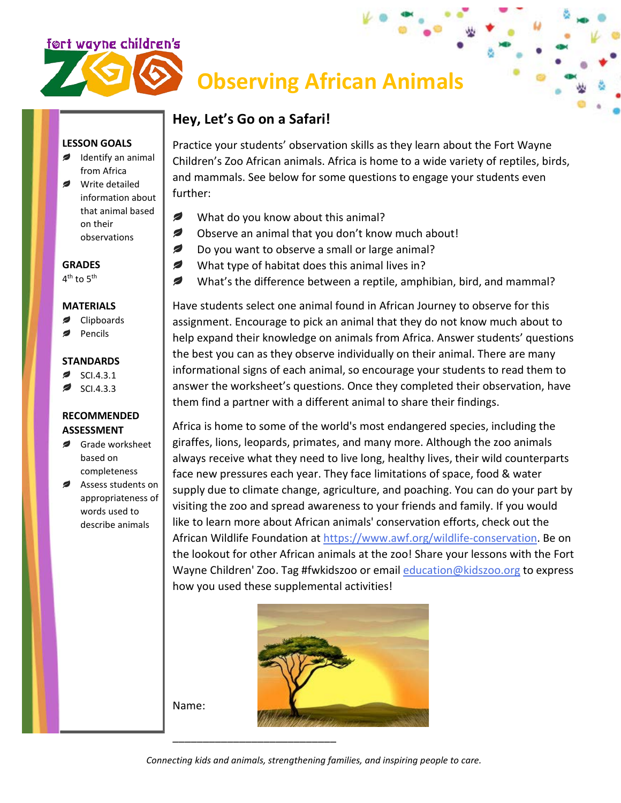

# **Observing African Animals**

# **Hey, Let's Go on a Safari!**

## **LESSON GOALS**

- Identify an animal from Africa
- Write detailed information about that animal based on their observations

**GRADES** 4<sup>th</sup> to 5<sup>th</sup>

#### **MATERIALS**

- Clipboards
- Pencils

#### **STANDARDS**

- SCI.4.3.1
- SCI.4.3.3

## **RECOMMENDED ASSESSMENT**

- Grade worksheet based on completeness
- Assess students on appropriateness of words used to describe animals

Practice your students' observation skills as they learn about the Fort Wayne Children's Zoo African animals. Africa is home to a wide variety of reptiles, birds, and mammals. See below for some questions to engage your students even further:

- € What do you know about this animal?
- Ø Observe an animal that you don't know much about!
- ✍ Do you want to observe a small or large animal?
- ✍ What type of habitat does this animal lives in?
- Ø What's the difference between a reptile, amphibian, bird, and mammal?

Have students select one animal found in African Journey to observe for this assignment. Encourage to pick an animal that they do not know much about to help expand their knowledge on animals from Africa. Answer students' questions the best you can as they observe individually on their animal. There are many informational signs of each animal, so encourage your students to read them to answer the worksheet's questions. Once they completed their observation, have them find a partner with a different animal to share their findings.

Africa is home to some of the world's most endangered species, including the giraffes, lions, leopards, primates, and many more. Although the zoo animals always receive what they need to live long, healthy lives, their wild counterparts face new pressures each year. They face limitations of space, food & water supply due to climate change, agriculture, and poaching. You can do your part by visiting the zoo and spread awareness to your friends and family. If you would like to learn more about African animals' conservation efforts, check out the African Wildlife Foundation at [https://www.awf.org/wildlife-conservation.](https://www.awf.org/wildlife-conservation) Be on the lookout for other African animals at the zoo! Share your lessons with the Fort Wayne Children' Zoo. Tag #fwkidszoo or email [education@kidszoo.org](mailto:education@kidszoo.org) to express how you used these supplemental activities!



Name:

*Connecting kids and animals, strengthening families, and inspiring people to care.*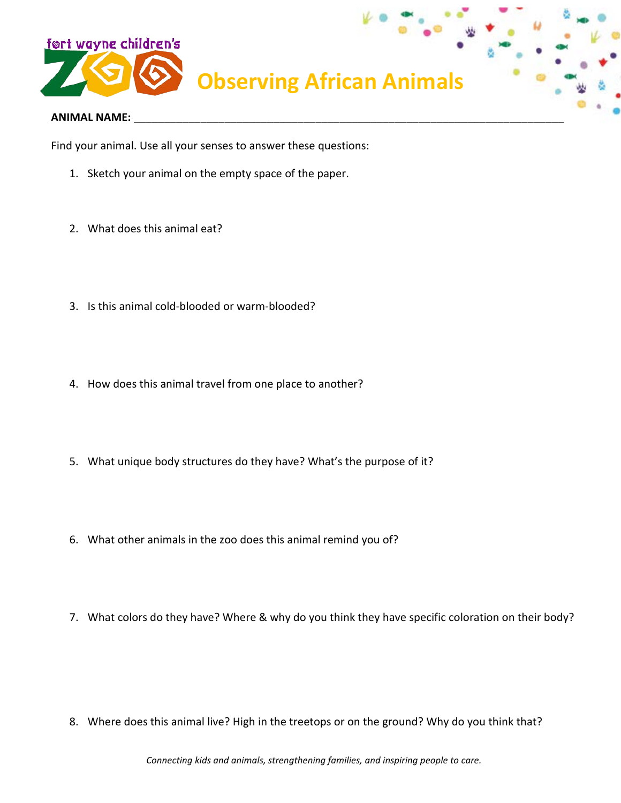

#### **ANIMAL NAME:** \_\_\_\_\_\_\_\_\_\_\_\_\_\_\_\_\_\_\_\_\_\_\_\_\_\_\_\_\_\_\_\_\_\_\_\_\_\_\_\_\_\_\_\_\_\_\_\_\_\_\_\_\_\_\_\_\_\_\_\_\_\_\_\_\_\_\_\_\_\_\_

Find your animal. Use all your senses to answer these questions:

- 1. Sketch your animal on the empty space of the paper.
- 2. What does this animal eat?
- 3. Is this animal cold-blooded or warm-blooded?
- 4. How does this animal travel from one place to another?
- 5. What unique body structures do they have? What's the purpose of it?
- 6. What other animals in the zoo does this animal remind you of?
- 7. What colors do they have? Where & why do you think they have specific coloration on their body?

8. Where does this animal live? High in the treetops or on the ground? Why do you think that?